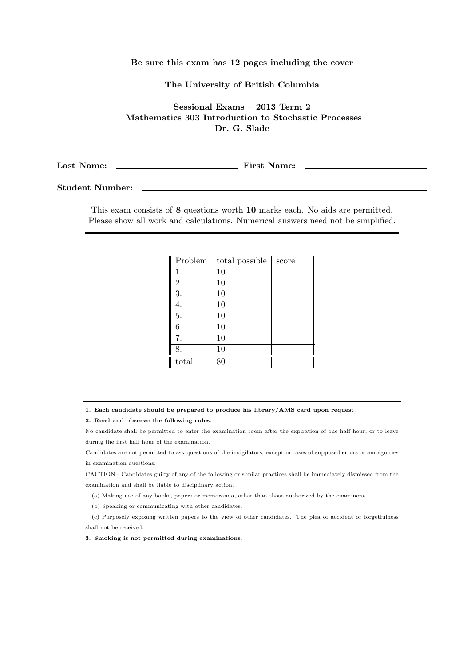## **Be sure this exam has 12 pages including the cover**

## **The University of British Columbia**

**Sessional Exams – 2013 Term 2 Mathematics 303 Introduction to Stochastic Processes Dr. G. Slade**

**Last Name: First Name:**

**Student Number:**

This exam consists of **8** questions worth **10** marks each. No aids are permitted. Please show all work and calculations. Numerical answers need not be simplified.

| Problem | total possible | score |
|---------|----------------|-------|
| 1.      | 10             |       |
| 2.      | 10             |       |
| 3.      | 10             |       |
| 4.      | 10             |       |
| 5.      | 10             |       |
| 6.      | 10             |       |
| 7.      | 10             |       |
| 8.      | 10             |       |
| total   | 80             |       |

**1. Each candidate should be prepared to produce his library/AMS card upon request**.

**2. Read and observe the following rules**:

No candidate shall be permitted to enter the examination room after the expiration of one half hour, or to leave during the first half hour of the examination.

Candidates are not permitted to ask questions of the invigilators, except in cases of supposed errors or ambiguities in examination questions.

CAUTION - Candidates guilty of any of the following or similar practices shall be immediately dismissed from the examination and shall be liable to disciplinary action.

(a) Making use of any books, papers or memoranda, other than those authorized by the examiners.

(b) Speaking or communicating with other candidates.

(c) Purposely exposing written papers to the view of other candidates. The plea of accident or forgetfulness shall not be received.

**3. Smoking is not permitted during examinations**.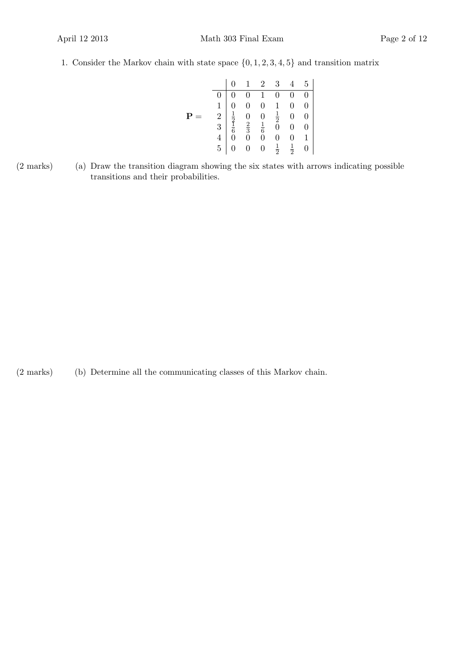1. Consider the Markov chain with state space *{*0*,* 1*,* 2*,* 3*,* 4*,* 5*}* and transition matrix

|          |  | $1 \quad 2$ | 3 <sup>3</sup>                                                                                                                                                                                                 | $5\phantom{.0}$                                 |
|----------|--|-------------|----------------------------------------------------------------------------------------------------------------------------------------------------------------------------------------------------------------|-------------------------------------------------|
|          |  |             |                                                                                                                                                                                                                | $\overline{0}$                                  |
|          |  |             |                                                                                                                                                                                                                | $\overline{0}$                                  |
| P<br>$=$ |  |             |                                                                                                                                                                                                                | $\overline{0}$                                  |
|          |  |             |                                                                                                                                                                                                                | $\begin{array}{c} 0 \\ 0 \\ 1 \\ 0 \end{array}$ |
|          |  |             |                                                                                                                                                                                                                |                                                 |
|          |  |             | $\begin{array}{c cccc} 0&1&2&0&1\\ \hline 0&0&0&1&0&0\\ 1&0&0&0&1&0\\ 2&\frac{1}{2}&0&0&\frac{1}{2}&0\\ 3&\frac{1}{6}&\frac{2}{3}&\frac{1}{6}&0&0\\ 4&0&0&0&0&0\\ 5&0&0&0&\frac{1}{2}&\frac{1}{2} \end{array}$ |                                                 |

(2 marks) (a) Draw the transition diagram showing the six states with arrows indicating possible transitions and their probabilities.

(2 marks) (b) Determine all the communicating classes of this Markov chain.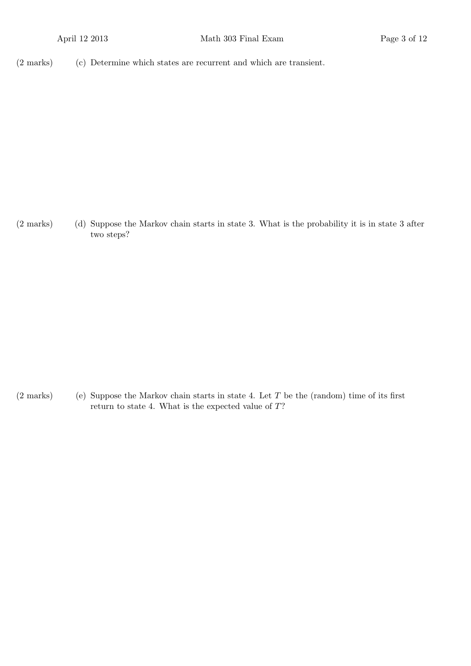(2 marks) (c) Determine which states are recurrent and which are transient.

(2 marks) (d) Suppose the Markov chain starts in state 3. What is the probability it is in state 3 after two steps?

(2 marks) (e) Suppose the Markov chain starts in state 4. Let *T* be the (random) time of its first return to state 4. What is the expected value of *T*?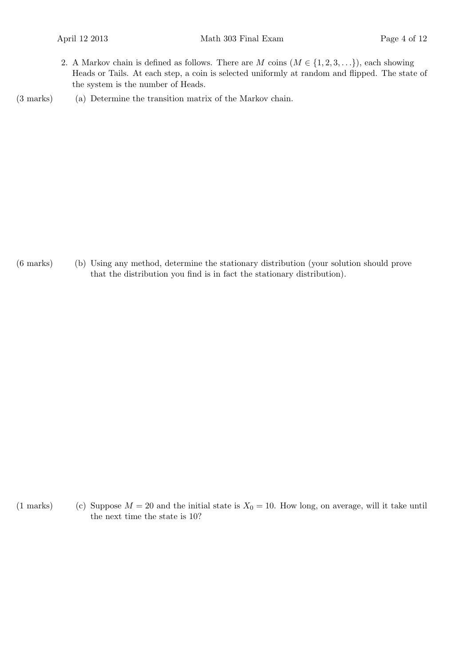2. A Markov chain is defined as follows. There are *M* coins  $(M \in \{1, 2, 3, \ldots\})$ , each showing Heads or Tails. At each step, a coin is selected uniformly at random and flipped. The state of the system is the number of Heads.

(3 marks) (a) Determine the transition matrix of the Markov chain.

(6 marks) (b) Using any method, determine the stationary distribution (your solution should prove that the distribution you find is in fact the stationary distribution).

(1 marks) (c) Suppose  $M = 20$  and the initial state is  $X_0 = 10$ . How long, on average, will it take until the next time the state is 10?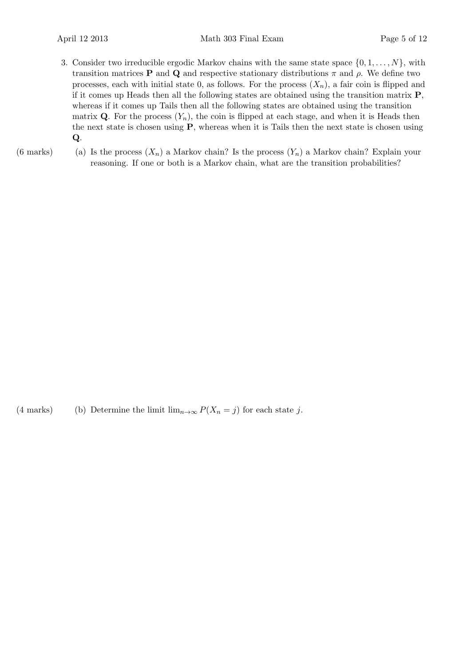- 3. Consider two irreducible ergodic Markov chains with the same state space  $\{0, 1, \ldots, N\}$ , with transition matrices **P** and **Q** and respective stationary distributions *π* and *ρ*. We define two processes, each with initial state 0, as follows. For the process  $(X_n)$ , a fair coin is flipped and if it comes up Heads then all the following states are obtained using the transition matrix **P**, whereas if it comes up Tails then all the following states are obtained using the transition matrix **Q**. For the process  $(Y_n)$ , the coin is flipped at each stage, and when it is Heads then the next state is chosen using **P**, whereas when it is Tails then the next state is chosen using **Q**.
- 
- (6 marks) (a) Is the process  $(X_n)$  a Markov chain? Is the process  $(Y_n)$  a Markov chain? Explain your reasoning. If one or both is a Markov chain, what are the transition probabilities?

(4 marks) (b) Determine the limit  $\lim_{n\to\infty} P(X_n = j)$  for each state *j*.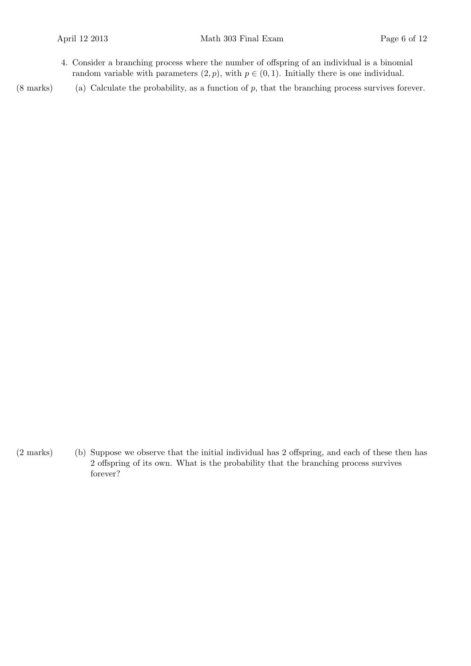4. Consider a branching process where the number of offspring of an individual is a binomial random variable with parameters  $(2, p)$ , with  $p \in (0, 1)$ . Initially there is one individual.

(8 marks) (a) Calculate the probability, as a function of *p*, that the branching process survives forever.

(2 marks) (b) Suppose we observe that the initial individual has 2 offspring, and each of these then has 2 offspring of its own. What is the probability that the branching process survives forever?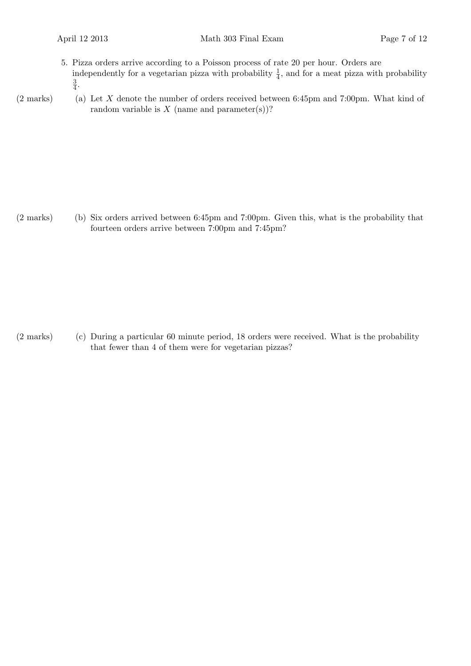- 5. Pizza orders arrive according to a Poisson process of rate 20 per hour. Orders are independently for a vegetarian pizza with probability  $\frac{1}{4}$ , and for a meat pizza with probability 3  $\frac{3}{4}$ .
- 
- (2 marks) (a) Let *X* denote the number of orders received between 6:45pm and 7:00pm. What kind of random variable is  $X$  (name and parameter(s))?

(2 marks) (b) Six orders arrived between 6:45pm and 7:00pm. Given this, what is the probability that fourteen orders arrive between 7:00pm and 7:45pm?

(2 marks) (c) During a particular 60 minute period, 18 orders were received. What is the probability that fewer than 4 of them were for vegetarian pizzas?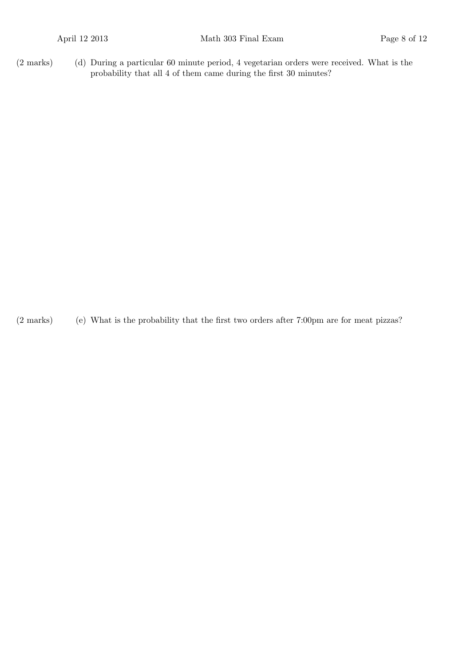(2 marks) (d) During a particular 60 minute period, 4 vegetarian orders were received. What is the probability that all 4 of them came during the first 30 minutes?

(2 marks) (e) What is the probability that the first two orders after 7:00pm are for meat pizzas?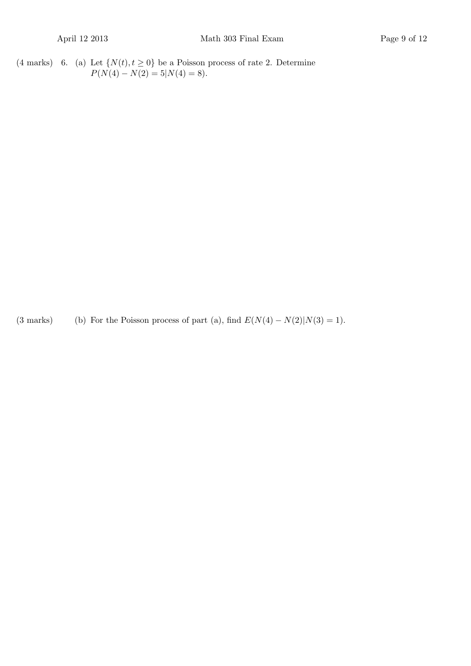(4 marks) 6. (a) Let  $\{N(t), t \ge 0\}$  be a Poisson process of rate 2. Determine  $P(N(4) - N(2) = 5|N(4) = 8).$ 

(3 marks) (b) For the Poisson process of part (a), find  $E(N(4) - N(2)|N(3) = 1)$ .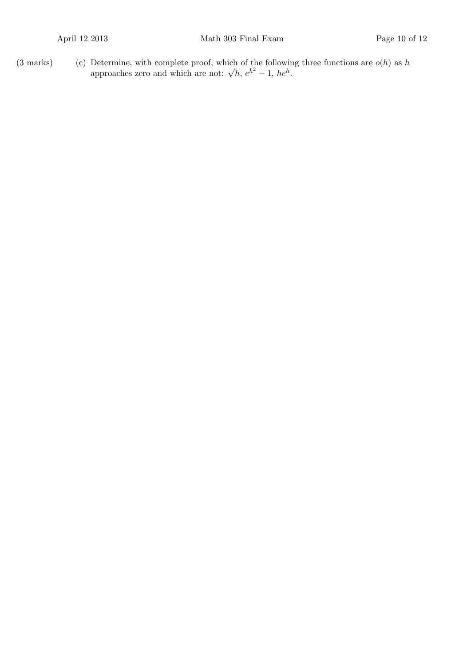(3 marks) (c) Determine, with complete proof, which of the following three functions are  $o(h)$  as h<br>approaches zero and which are not:  $\sqrt{h}$ ,  $e^{h^2} - 1$ ,  $he^h$ .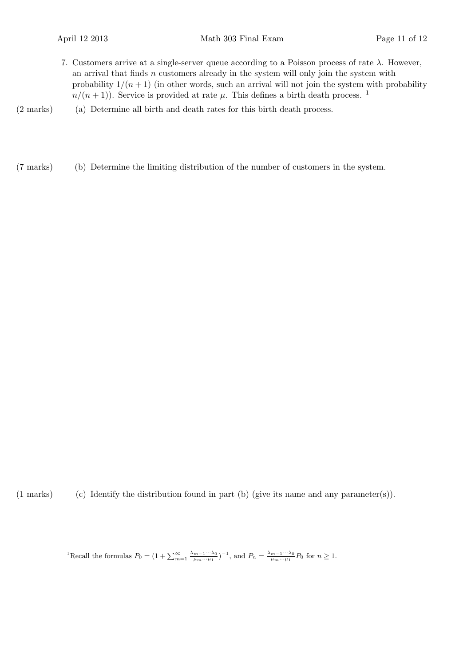- 7. Customers arrive at a single-server queue according to a Poisson process of rate *λ*. However, an arrival that finds *n* customers already in the system will only join the system with probability  $1/(n+1)$  (in other words, such an arrival will not join the system with probability  $n/(n+1)$ ). Service is provided at rate  $\mu$ . This defines a birth death process. <sup>1</sup>
- (2 marks) (a) Determine all birth and death rates for this birth death process.
- (7 marks) (b) Determine the limiting distribution of the number of customers in the system.

(1 marks) (c) Identify the distribution found in part (b) (give its name and any parameter(s)).

<sup>1</sup>Recall the formulas  $P_0 = (1 + \sum_{m=1}^{\infty} \frac{\lambda_{m-1} \cdots \lambda_0}{\mu_m \cdots \mu_1})^{-1}$ , and  $P_n = \frac{\lambda_{m-1} \cdots \lambda_0}{\mu_m \cdots \mu_1} P_0$  for  $n \ge 1$ .